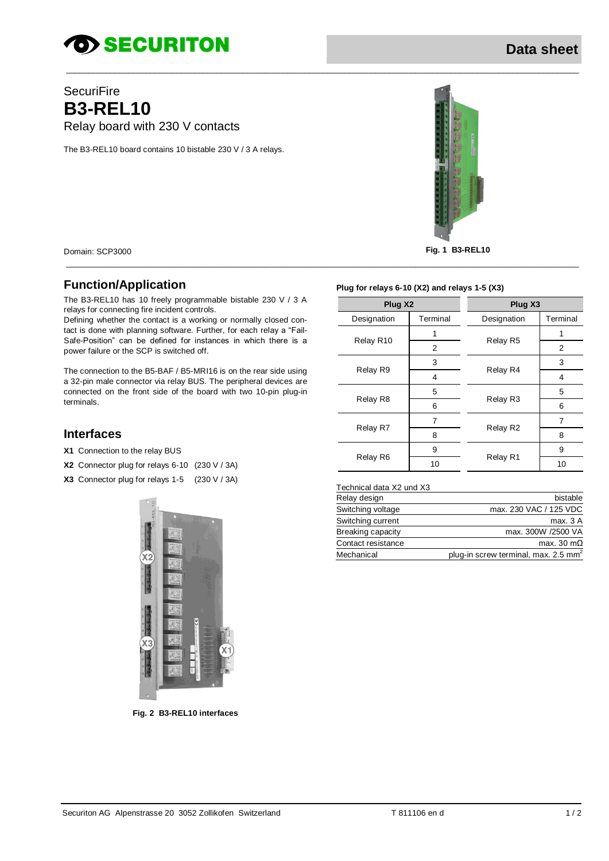# *SECURITON*

# **SecuriFire B3-REL10** Relay board with 230 V contacts

The B3-REL10 board contains 10 bistable 230 V / 3 A relays.



Domain: SCP3000 **Fig. 1 B3-REL10**

# **Function/Application**

The B3-REL10 has 10 freely programmable bistable 230 V / 3 A relays for connecting fire incident controls.

Defining whether the contact is a working or normally closed contact is done with planning software. Further, for each relay a "Fail-Safe-Position" can be defined for instances in which there is a power failure or the SCP is switched off.

The connection to the B5-BAF / B5-MRI16 is on the rear side using a 32-pin male connector via relay BUS. The peripheral devices are connected on the front side of the board with two 10-pin plug-in terminals.

### **Interfaces**

- **X1** Connection to the relay BUS
- **X2** Connector plug for relays 6-10 (230 V / 3A)
- **X3** Connector plug for relays 1-5 (230 V / 3A)



**Fig. 2 B3-REL10 interfaces**



#### **Plug for relays 6-10 (X2) and relays 1-5 (X3)**

\_\_\_\_\_\_\_\_\_\_\_\_\_\_\_\_\_\_\_\_\_\_\_\_\_\_\_\_\_\_\_\_\_\_\_\_\_\_\_\_\_\_\_\_\_\_\_\_\_\_\_\_\_\_\_\_\_\_\_\_\_\_\_\_\_\_\_\_\_\_\_\_\_\_\_\_\_\_\_\_\_\_\_\_\_\_\_\_\_\_\_\_\_\_\_\_\_\_\_\_\_\_\_\_\_\_\_\_\_\_\_\_\_\_\_\_

| Plug X2     |          | Plug X3     |          |
|-------------|----------|-------------|----------|
| Designation | Terminal | Designation | Terminal |
| Relay R10   |          | Relay R5    |          |
|             | 2        |             | 2        |
| Relay R9    | 3        | Relay R4    | 3        |
|             | 4        |             | 4        |
| Relay R8    | 5        | Relay R3    | 5        |
|             | 6        |             | 6        |
| Relay R7    | 7        | Relay R2    | 7        |
|             | 8        |             | 8        |
| Relay R6    | 9        | Relay R1    | 9        |
|             | 10       |             | 10       |

#### Technical data X2 und X3

| Relay design       | bistable                                         |
|--------------------|--------------------------------------------------|
| Switching voltage  | max. 230 VAC / 125 VDC                           |
| Switching current  | max. 3 A                                         |
| Breaking capacity  | max. 300W /2500 VA                               |
| Contact resistance | max. 30 m $\Omega$                               |
| Mechanical         | plug-in screw terminal, max. 2.5 mm <sup>2</sup> |